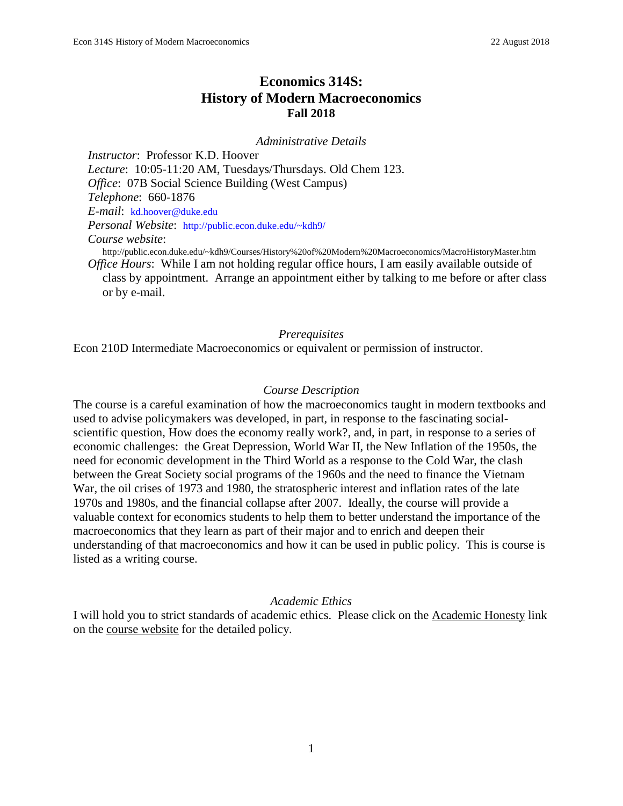# **Economics 314S: History of Modern Macroeconomics Fall 2018**

*Administrative Details*

*Instructor*: Professor K.D. Hoover *Lecture*: 10:05-11:20 AM, Tuesdays/Thursdays. Old Chem 123. *Office*: 07B Social Science Building (West Campus) *Telephone*: 660-1876 *E-mail*: [kd.hoover@duke.edu](mailto:kd.hoover@duke.edu) *Personal Website*: <http://public.econ.duke.edu/~kdh9/> *Course website*: http://public.econ.duke.edu/~kdh9/Courses/History%20of%20Modern%20Macroeconomics/MacroHistoryMaster.htm *Office Hours*: While I am not holding regular office hours, I am easily available outside of class by appointment. Arrange an appointment either by talking to me before or after class or by e-mail.

#### *Prerequisites*

Econ 210D Intermediate Macroeconomics or equivalent or permission of instructor.

#### *Course Description*

The course is a careful examination of how the macroeconomics taught in modern textbooks and used to advise policymakers was developed, in part, in response to the fascinating socialscientific question, How does the economy really work?, and, in part, in response to a series of economic challenges: the Great Depression, World War II, the New Inflation of the 1950s, the need for economic development in the Third World as a response to the Cold War, the clash between the Great Society social programs of the 1960s and the need to finance the Vietnam War, the oil crises of 1973 and 1980, the stratospheric interest and inflation rates of the late 1970s and 1980s, and the financial collapse after 2007. Ideally, the course will provide a valuable context for economics students to help them to better understand the importance of the macroeconomics that they learn as part of their major and to enrich and deepen their understanding of that macroeconomics and how it can be used in public policy. This is course is listed as a writing course.

#### *Academic Ethics*

I will hold you to strict standards of academic ethics. Please click on the Academic Honesty link on the course website for the detailed policy.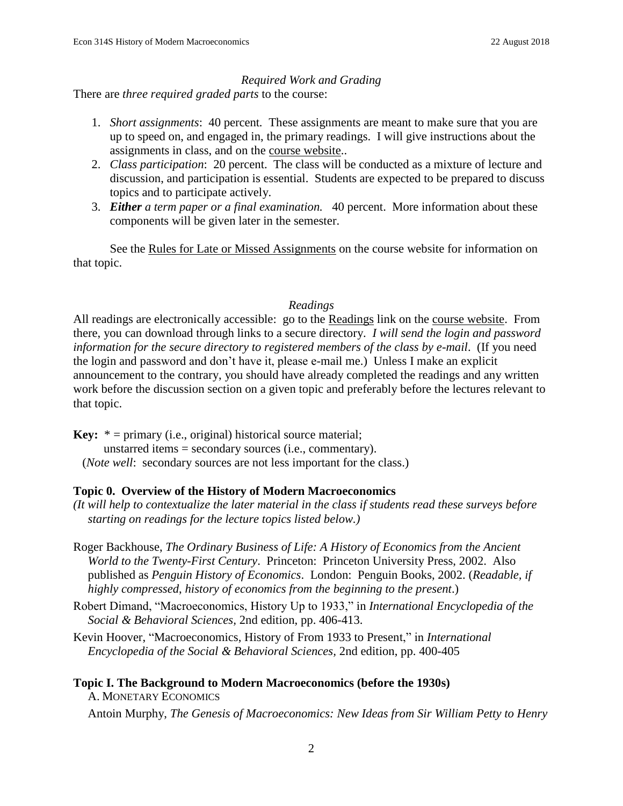### *Required Work and Grading*

There are *three required graded parts* to the course:

- 1. *Short assignments*: 40 percent*.* These assignments are meant to make sure that you are up to speed on, and engaged in, the primary readings. I will give instructions about the assignments in class, and on the course website..
- 2. *Class participation*: 20 percent. The class will be conducted as a mixture of lecture and discussion, and participation is essential. Students are expected to be prepared to discuss topics and to participate actively.
- 3. *Either a term paper or a final examination.* 40 percent. More information about these components will be given later in the semester.

See the Rules for Late or Missed Assignments on the course website for information on that topic.

## *Readings*

All readings are electronically accessible: go to the Readings link on the course website. From there, you can download through links to a secure directory. *I will send the login and password information for the secure directory to registered members of the class by e-mail*. (If you need the login and password and don't have it, please e-mail me.) Unless I make an explicit announcement to the contrary, you should have already completed the readings and any written work before the discussion section on a given topic and preferably before the lectures relevant to that topic.

**Key:** \* = primary (i.e., original) historical source material; unstarred items = secondary sources (i.e., commentary). (*Note well*: secondary sources are not less important for the class.)

## **Topic 0. Overview of the History of Modern Macroeconomics**

- *(It will help to contextualize the later material in the class if students read these surveys before starting on readings for the lecture topics listed below.)*
- Roger Backhouse, *The Ordinary Business of Life: A History of Economics from the Ancient World to the Twenty-First Century*. Princeton: Princeton University Press, 2002. Also published as *Penguin History of Economics*. London: Penguin Books, 2002. (*Readable, if highly compressed*, *history of economics from the beginning to the present*.)
- Robert Dimand, "Macroeconomics, History Up to 1933," in *International Encyclopedia of the Social & Behavioral Sciences,* 2nd edition, pp. 406-413.
- Kevin Hoover, "Macroeconomics, History of From 1933 to Present," in *International Encyclopedia of the Social & Behavioral Sciences,* 2nd edition, pp. 400-405

# **Topic I. The Background to Modern Macroeconomics (before the 1930s)**

A. MONETARY ECONOMICS

Antoin Murphy, *The Genesis of Macroeconomics: New Ideas from Sir William Petty to Henry*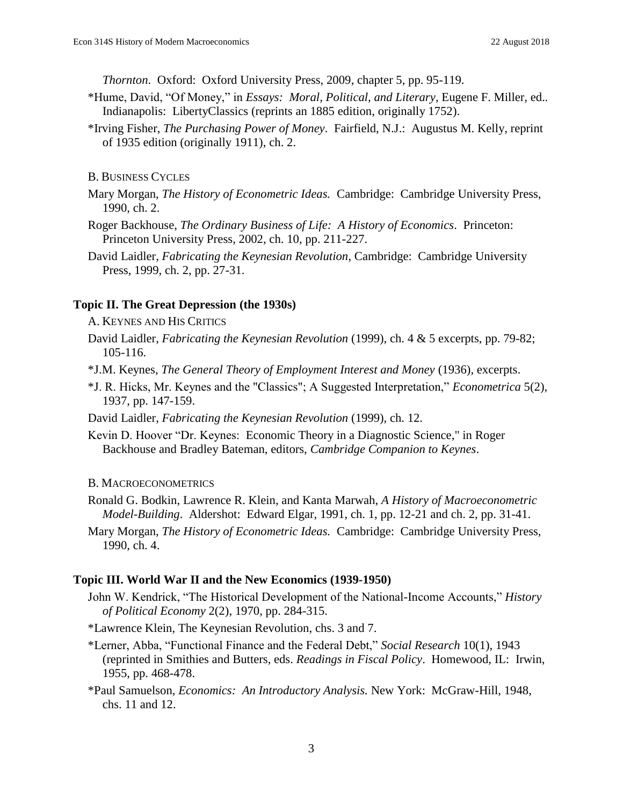*Thornton*. Oxford: Oxford University Press, 2009, chapter 5, pp. 95-119.

- \*Hume, David, "Of Money," in *Essays: Moral, Political, and Literary*, Eugene F. Miller, ed.*.*  Indianapolis: LibertyClassics (reprints an 1885 edition, originally 1752).
- \*Irving Fisher, *The Purchasing Power of Money*. Fairfield, N.J.: Augustus M. Kelly, reprint of 1935 edition (originally 1911), ch. 2.

B. BUSINESS CYCLES

- Mary Morgan, *The History of Econometric Ideas.* Cambridge: Cambridge University Press, 1990, ch. 2.
- Roger Backhouse, *The Ordinary Business of Life: A History of Economics*. Princeton: Princeton University Press, 2002, ch. 10, pp. 211-227.
- David Laidler, *Fabricating the Keynesian Revolution*, Cambridge: Cambridge University Press, 1999, ch. 2, pp. 27-31.

### **Topic II. The Great Depression (the 1930s)**

A. KEYNES AND HIS CRITICS

- David Laidler, *Fabricating the Keynesian Revolution* (1999), ch. 4 & 5 excerpts, pp. 79-82; 105-116.
- \*J.M. Keynes, *The General Theory of Employment Interest and Money* (1936), excerpts.
- \*J. R. Hicks, Mr. Keynes and the "Classics"; A Suggested Interpretation," *Econometrica* 5(2), 1937, pp. 147-159.
- David Laidler, *Fabricating the Keynesian Revolution* (1999), ch. 12.
- Kevin D. Hoover "Dr. Keynes: Economic Theory in a Diagnostic Science," in Roger Backhouse and Bradley Bateman, editors, *Cambridge Companion to Keynes*.

#### B. MACROECONOMETRICS

- Ronald G. Bodkin, Lawrence R. Klein, and Kanta Marwah, *A History of Macroeconometric Model-Building*. Aldershot: Edward Elgar, 1991, ch. 1, pp. 12-21 and ch. 2, pp. 31-41.
- Mary Morgan, *The History of Econometric Ideas.* Cambridge: Cambridge University Press, 1990, ch. 4.

### **Topic III. World War II and the New Economics (1939-1950)**

- John W. Kendrick, "The Historical Development of the National-Income Accounts," *History of Political Economy* 2(2), 1970, pp. 284-315.
- \*Lawrence Klein, The Keynesian Revolution, chs. 3 and 7.
- \*Lerner, Abba, "Functional Finance and the Federal Debt," *Social Research* 10(1), 1943 (reprinted in Smithies and Butters, eds. *Readings in Fiscal Policy*. Homewood, IL: Irwin, 1955, pp. 468-478.
- \*Paul Samuelson, *Economics: An Introductory Analysis.* New York: McGraw-Hill, 1948, chs. 11 and 12.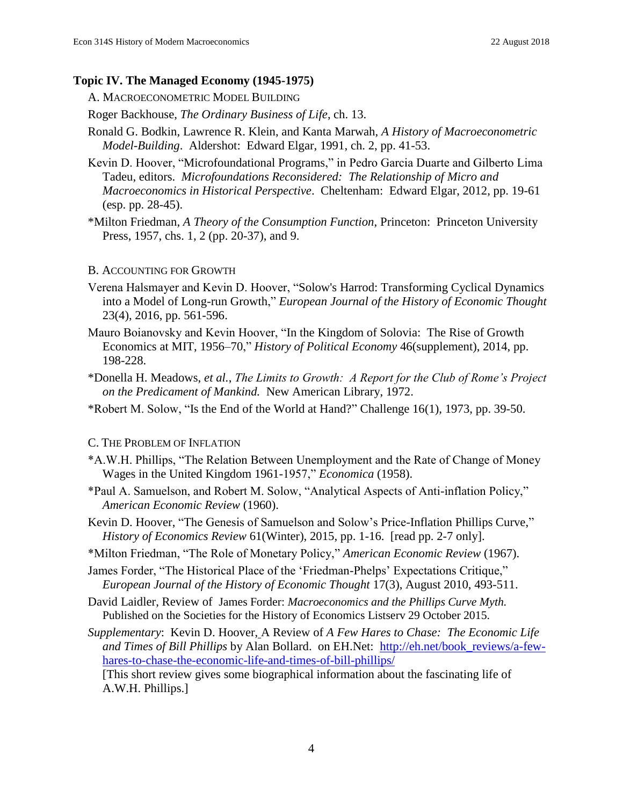### **Topic IV. The Managed Economy (1945-1975)**

A. MACROECONOMETRIC MODEL BUILDING

Roger Backhouse, *The Ordinary Business of Life*, ch. 13.

- Ronald G. Bodkin, Lawrence R. Klein, and Kanta Marwah, *A History of Macroeconometric Model-Building*. Aldershot: Edward Elgar, 1991, ch. 2, pp. 41-53.
- Kevin D. Hoover, "Microfoundational Programs," in Pedro Garcia Duarte and Gilberto Lima Tadeu, editors. *Microfoundations Reconsidered: The Relationship of Micro and Macroeconomics in Historical Perspective*. Cheltenham: Edward Elgar, 2012, pp. 19-61 (esp. pp. 28-45).
- \*Milton Friedman, *A Theory of the Consumption Function*, Princeton: Princeton University Press, 1957, chs. 1, 2 (pp. 20-37), and 9.

### B. ACCOUNTING FOR GROWTH

- Verena Halsmayer and Kevin D. Hoover, "Solow's Harrod: Transforming Cyclical Dynamics into a Model of Long-run Growth," *European Journal of the History of Economic Thought*  23(4), 2016, pp. 561-596.
- Mauro Boianovsky and Kevin Hoover, "In the Kingdom of Solovia: The Rise of Growth Economics at MIT, 1956–70," *History of Political Economy* 46(supplement), 2014, pp. 198-228.
- \*Donella H. Meadows, *et al.*, *The Limits to Growth: A Report for the Club of Rome's Project on the Predicament of Mankind.* New American Library, 1972.
- \*Robert M. Solow, "Is the End of the World at Hand?" Challenge 16(1), 1973, pp. 39-50.

### C. THE PROBLEM OF INFLATION

- \*A.W.H. Phillips, "The Relation Between Unemployment and the Rate of Change of Money Wages in the United Kingdom 1961-1957," *Economica* (1958).
- \*Paul A. Samuelson, and Robert M. Solow, "Analytical Aspects of Anti-inflation Policy," *American Economic Review* (1960).
- Kevin D. Hoover, "The Genesis of Samuelson and Solow's Price-Inflation Phillips Curve," *History of Economics Review* 61(Winter), 2015, pp. 1-16. [read pp. 2-7 only].
- \*Milton Friedman, "The Role of Monetary Policy," *American Economic Review* (1967).
- James Forder, "The Historical Place of the 'Friedman-Phelps' Expectations Critique," *European Journal of the History of Economic Thought* 17(3), August 2010, 493-511.
- David Laidler, Review of James Forder: *Macroeconomics and the Phillips Curve Myth.*  Published on the Societies for the History of Economics Listserv 29 October 2015.
- *Supplementary*: Kevin D. Hoover, A Review of *A Few Hares to Chase: The Economic Life and Times of Bill Phillips* by Alan Bollard. on EH.Net: [http://eh.net/book\\_reviews/a-few](http://eh.net/book_reviews/a-few-hares-to-chase-the-economic-life-and-times-of-bill-phillips/)[hares-to-chase-the-economic-life-and-times-of-bill-phillips/](http://eh.net/book_reviews/a-few-hares-to-chase-the-economic-life-and-times-of-bill-phillips/)  [This short review gives some biographical information about the fascinating life of

A.W.H. Phillips.]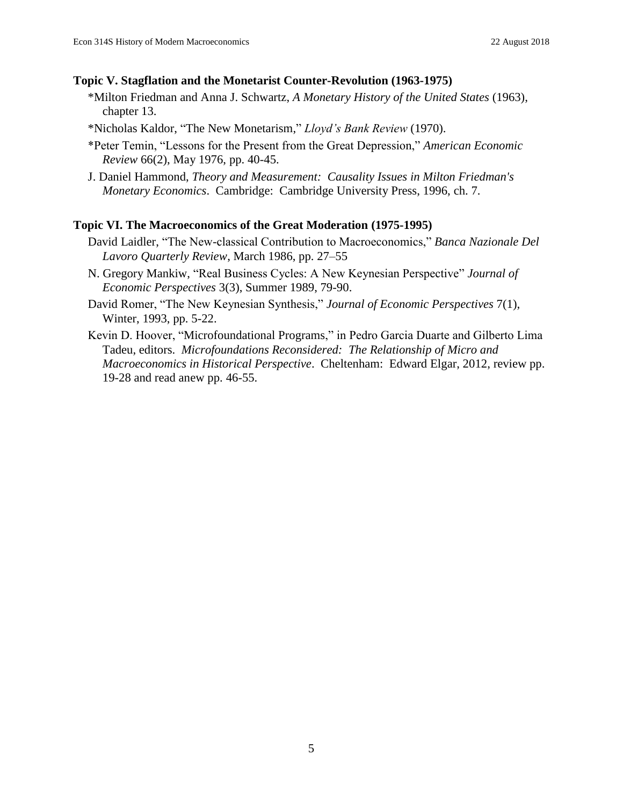### **Topic V. Stagflation and the Monetarist Counter-Revolution (1963-1975)**

- \*Milton Friedman and Anna J. Schwartz, *A Monetary History of the United States* (1963), chapter 13.
- \*Nicholas Kaldor, "The New Monetarism," *Lloyd's Bank Review* (1970).
- \*Peter Temin, "Lessons for the Present from the Great Depression," *American Economic Review* 66(2), May 1976, pp. 40-45.
- J. Daniel Hammond, *Theory and Measurement: Causality Issues in Milton Friedman's Monetary Economics*. Cambridge: Cambridge University Press, 1996, ch. 7*.*

### **Topic VI. The Macroeconomics of the Great Moderation (1975-1995)**

- David Laidler, "The New-classical Contribution to Macroeconomics," *Banca Nazionale Del Lavoro Quarterly Review*, March 1986, pp. 27–55
- N. Gregory Mankiw, "Real Business Cycles: A New Keynesian Perspective" *Journal of Economic Perspectives* 3(3), Summer 1989, 79-90.
- David Romer, "The New Keynesian Synthesis," *Journal of Economic Perspectives* 7(1), Winter, 1993, pp. 5-22.
- Kevin D. Hoover, "Microfoundational Programs," in Pedro Garcia Duarte and Gilberto Lima Tadeu, editors. *Microfoundations Reconsidered: The Relationship of Micro and Macroeconomics in Historical Perspective*. Cheltenham: Edward Elgar, 2012, review pp. 19-28 and read anew pp. 46-55.